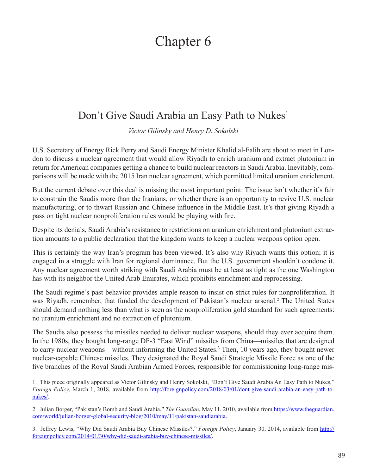## Chapter 6

## Don't Give Saudi Arabia an Easy Path to Nukes<sup>1</sup>

*Victor Gilinsky and Henry D. Sokolski*

U.S. Secretary of Energy Rick Perry and Saudi Energy Minister Khalid al-Falih are about to meet in London to discuss a nuclear agreement that would allow Riyadh to enrich uranium and extract plutonium in return for American companies getting a chance to build nuclear reactors in Saudi Arabia. Inevitably, comparisons will be made with the 2015 Iran nuclear agreement, which permitted limited uranium enrichment.

But the current debate over this deal is missing the most important point: The issue isn't whether it's fair to constrain the Saudis more than the Iranians, or whether there is an opportunity to revive U.S. nuclear manufacturing, or to thwart Russian and Chinese influence in the Middle East. It's that giving Riyadh a pass on tight nuclear nonproliferation rules would be playing with fire.

Despite its denials, Saudi Arabia's resistance to restrictions on uranium enrichment and plutonium extraction amounts to a public declaration that the kingdom wants to keep a nuclear weapons option open.

This is certainly the way Iran's program has been viewed. It's also why Riyadh wants this option; it is engaged in a struggle with Iran for regional dominance. But the U.S. government shouldn't condone it. Any nuclear agreement worth striking with Saudi Arabia must be at least as tight as the one Washington has with its neighbor the United Arab Emirates, which prohibits enrichment and reprocessing.

The Saudi regime's past behavior provides ample reason to insist on strict rules for nonproliferation. It was Riyadh, remember, that funded the development of Pakistan's nuclear arsenal.<sup>2</sup> The United States should demand nothing less than what is seen as the nonproliferation gold standard for such agreements: no uranium enrichment and no extraction of plutonium.

The Saudis also possess the missiles needed to deliver nuclear weapons, should they ever acquire them. In the 1980s, they bought long-range DF-3 "East Wind" missiles from China—missiles that are designed to carry nuclear weapons—without informing the United States.<sup>3</sup> Then, 10 years ago, they bought newer nuclear-capable Chinese missiles. They designated the Royal Saudi Strategic Missile Force as one of the five branches of the Royal Saudi Arabian Armed Forces, responsible for commissioning long-range mis-

<sup>1.</sup> This piece originally appeared as Victor Gilinsky and Henry Sokolski, "Don't Give Saudi Arabia An Easy Path to Nukes," *Foreign Policy*, March 1, 2018, available from [http://foreignpolicy.com/2018/03/01/dont-give-saudi-arabia-an-easy-path-to](http://foreignpolicy.com/2018/03/01/dont-give-saudi-arabia-an-easy-path-to-nukes/)[nukes/](http://foreignpolicy.com/2018/03/01/dont-give-saudi-arabia-an-easy-path-to-nukes/).

<sup>2.</sup> Julian Borger, "Pakistan's Bomb and Saudi Arabia," *The Guardian*, May 11, 2010, available from [https://www.theguardian.](https://www.theguardian.com/world/julian-borger-global-security-blog/2010/may/11/pakistan-saudiarabia) [com/world/julian-borger-global-security-blog/2010/may/11/pakistan-saudiarabia](https://www.theguardian.com/world/julian-borger-global-security-blog/2010/may/11/pakistan-saudiarabia).

<sup>3.</sup> Jeffrey Lewis, "Why Did Saudi Arabia Buy Chinese Missiles?," *Foreign Policy*, January 30, 2014, available from [http://](http://foreignpolicy.com/2014/01/30/why-did-saudi-arabia-buy-chinese-missiles/) [foreignpolicy.com/2014/01/30/why-did-saudi-arabia-buy-chinese-missiles/.](http://foreignpolicy.com/2014/01/30/why-did-saudi-arabia-buy-chinese-missiles/)